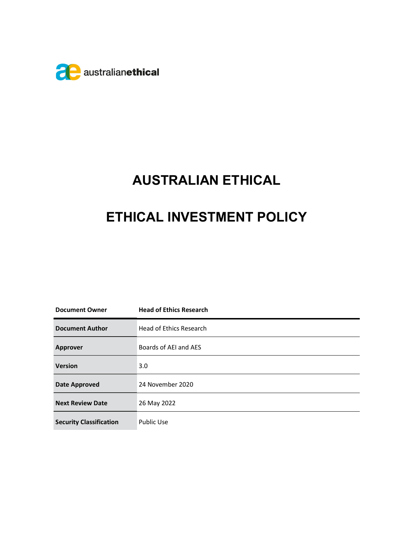

# AUSTRALIAN ETHICAL

## ETHICAL INVESTMENT POLICY

| <b>Document Owner</b>          | <b>Head of Ethics Research</b> |
|--------------------------------|--------------------------------|
| <b>Document Author</b>         | Head of Ethics Research        |
| <b>Approver</b>                | Boards of AEI and AES          |
| <b>Version</b>                 | 3.0                            |
| <b>Date Approved</b>           | 24 November 2020               |
| <b>Next Review Date</b>        | 26 May 2022                    |
| <b>Security Classification</b> | <b>Public Use</b>              |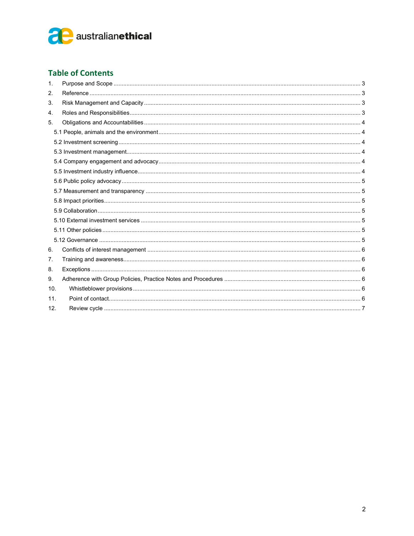

#### **Table of Contents**

| 1.  |  |
|-----|--|
| 2.  |  |
| 3.  |  |
| 4.  |  |
| 5.  |  |
|     |  |
|     |  |
|     |  |
|     |  |
|     |  |
|     |  |
|     |  |
|     |  |
|     |  |
|     |  |
|     |  |
|     |  |
| 6.  |  |
| 7.  |  |
| 8.  |  |
| 9.  |  |
| 10. |  |
| 11. |  |
| 12. |  |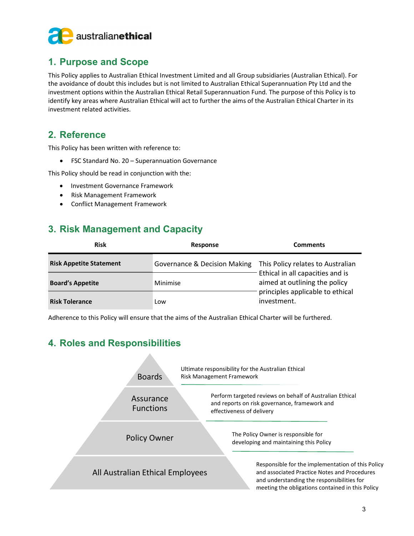

## 1. Purpose and Scope

This Policy applies to Australian Ethical Investment Limited and all Group subsidiaries (Australian Ethical). For the avoidance of doubt this includes but is not limited to Australian Ethical Superannuation Pty Ltd and the investment options within the Australian Ethical Retail Superannuation Fund. The purpose of this Policy is to identify key areas where Australian Ethical will act to further the aims of the Australian Ethical Charter in its investment related activities.

## 2. Reference

This Policy has been written with reference to:

FSC Standard No. 20 – Superannuation Governance

This Policy should be read in conjunction with the:

- Investment Governance Framework
- Risk Management Framework
- Conflict Management Framework

## 3. Risk Management and Capacity

| <b>Risk</b>                    | Response                     | <b>Comments</b>                                                                                                                                           |
|--------------------------------|------------------------------|-----------------------------------------------------------------------------------------------------------------------------------------------------------|
| <b>Risk Appetite Statement</b> | Governance & Decision Making | This Policy relates to Australian<br>Ethical in all capacities and is<br>aimed at outlining the policy<br>principles applicable to ethical<br>investment. |
| <b>Board's Appetite</b>        | Minimise                     |                                                                                                                                                           |
| <b>Risk Tolerance</b>          | Low                          |                                                                                                                                                           |

Adherence to this Policy will ensure that the aims of the Australian Ethical Charter will be furthered.

## 4. Roles and Responsibilities

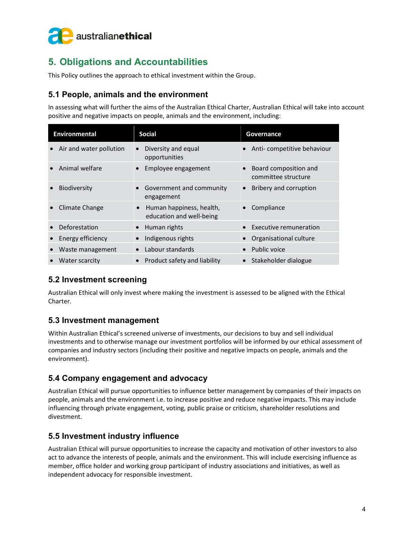

## 5. Obligations and Accountabilities

This Policy outlines the approach to ethical investment within the Group.

#### 5.1 People, animals and the environment

In assessing what will further the aims of the Australian Ethical Charter, Australian Ethical will take into account positive and negative impacts on people, animals and the environment, including:

| <b>Environmental</b>    | <b>Social</b>                                                     | Governance                                   |
|-------------------------|-------------------------------------------------------------------|----------------------------------------------|
| Air and water pollution | Diversity and equal<br>opportunities                              | Anti-competitive behaviour                   |
| Animal welfare          | Employee engagement                                               | Board composition and<br>committee structure |
| <b>Biodiversity</b>     | • Government and community<br>engagement                          | Bribery and corruption                       |
| Climate Change          | Human happiness, health,<br>$\bullet$<br>education and well-being | Compliance                                   |
| Deforestation           | Human rights                                                      | Executive remuneration                       |
| Energy efficiency       | Indigenous rights                                                 | Organisational culture                       |
| Waste management        | Labour standards                                                  | Public voice                                 |
| Water scarcity          | Product safety and liability                                      | Stakeholder dialogue                         |

#### 5.2 Investment screening

Australian Ethical will only invest where making the investment is assessed to be aligned with the Ethical Charter.

#### 5.3 Investment management

Within Australian Ethical's screened universe of investments, our decisions to buy and sell individual investments and to otherwise manage our investment portfolios will be informed by our ethical assessment of companies and industry sectors (including their positive and negative impacts on people, animals and the environment).

#### 5.4 Company engagement and advocacy

Australian Ethical will pursue opportunities to influence better management by companies of their impacts on people, animals and the environment i.e. to increase positive and reduce negative impacts. This may include influencing through private engagement, voting, public praise or criticism, shareholder resolutions and divestment.

#### 5.5 Investment industry influence

Australian Ethical will pursue opportunities to increase the capacity and motivation of other investors to also act to advance the interests of people, animals and the environment. This will include exercising influence as member, office holder and working group participant of industry associations and initiatives, as well as independent advocacy for responsible investment.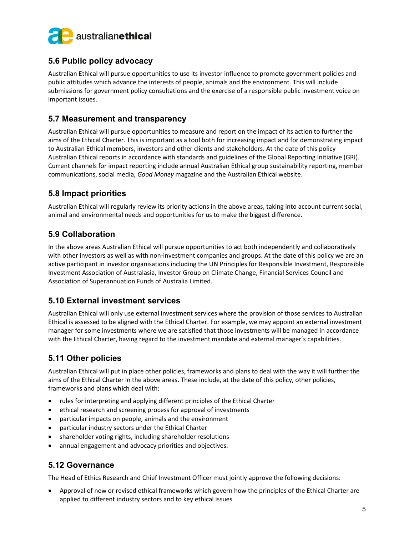

#### 5.6 Public policy advocacy

Australian Ethical will pursue opportunities to use its investor influence to promote government policies and public attitudes which advance the interests of people, animals and the environment. This will include submissions for government policy consultations and the exercise of a responsible public investment voice on important issues.

#### 5.7 Measurement and transparency

Australian Ethical will pursue opportunities to measure and report on the impact of its action to further the aims of the Ethical Charter. This is important as a tool both for increasing impact and for demonstrating impact to Australian Ethical members, investors and other clients and stakeholders. At the date of this policy Australian Ethical reports in accordance with standards and guidelines of the Global Reporting Initiative (GRI). Current channels for impact reporting include annual Australian Ethical group sustainability reporting, member communications, social media, Good Money magazine and the Australian Ethical website.

#### 5.8 Impact priorities

Australian Ethical will regularly review its priority actions in the above areas, taking into account current social, animal and environmental needs and opportunities for us to make the biggest difference.

#### 5.9 Collaboration

In the above areas Australian Ethical will pursue opportunities to act both independently and collaboratively with other investors as well as with non-investment companies and groups. At the date of this policy we are an active participant in investor organisations including the UN Principles for Responsible Investment, Responsible Investment Association of Australasia, Investor Group on Climate Change, Financial Services Council and Association of Superannuation Funds of Australia Limited.

#### 5.10 External investment services

Australian Ethical will only use external investment services where the provision of those services to Australian Ethical is assessed to be aligned with the Ethical Charter. For example, we may appoint an external investment manager for some investments where we are satisfied that those investments will be managed in accordance with the Ethical Charter, having regard to the investment mandate and external manager's capabilities.

#### 5.11 Other policies

Australian Ethical will put in place other policies, frameworks and plans to deal with the way it will further the aims of the Ethical Charter in the above areas. These include, at the date of this policy, other policies, frameworks and plans which deal with:

- rules for interpreting and applying different principles of the Ethical Charter
- ethical research and screening process for approval of investments
- particular impacts on people, animals and the environment
- particular industry sectors under the Ethical Charter
- shareholder voting rights, including shareholder resolutions
- annual engagement and advocacy priorities and objectives.

#### 5.12 Governance

The Head of Ethics Research and Chief Investment Officer must jointly approve the following decisions:

 Approval of new or revised ethical frameworks which govern how the principles of the Ethical Charter are applied to different industry sectors and to key ethical issues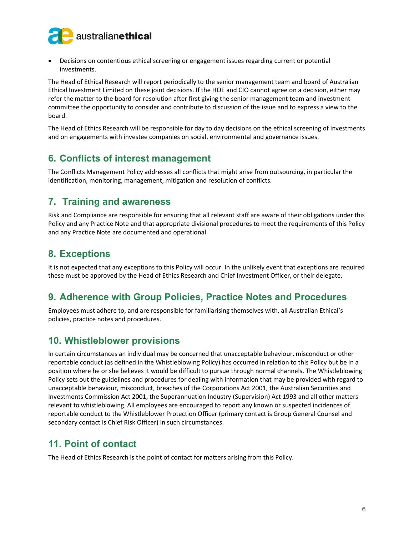

 Decisions on contentious ethical screening or engagement issues regarding current or potential investments.

The Head of Ethical Research will report periodically to the senior management team and board of Australian Ethical Investment Limited on these joint decisions. If the HOE and CIO cannot agree on a decision, either may refer the matter to the board for resolution after first giving the senior management team and investment committee the opportunity to consider and contribute to discussion of the issue and to express a view to the board.

The Head of Ethics Research will be responsible for day to day decisions on the ethical screening of investments and on engagements with investee companies on social, environmental and governance issues.

## 6. Conflicts of interest management

The Conflicts Management Policy addresses all conflicts that might arise from outsourcing, in particular the identification, monitoring, management, mitigation and resolution of conflicts.

### 7. Training and awareness

Risk and Compliance are responsible for ensuring that all relevant staff are aware of their obligations under this Policy and any Practice Note and that appropriate divisional procedures to meet the requirements of this Policy and any Practice Note are documented and operational.

## 8. Exceptions

It is not expected that any exceptions to this Policy will occur. In the unlikely event that exceptions are required these must be approved by the Head of Ethics Research and Chief Investment Officer, or their delegate.

## 9. Adherence with Group Policies, Practice Notes and Procedures

Employees must adhere to, and are responsible for familiarising themselves with, all Australian Ethical's policies, practice notes and procedures.

## 10. Whistleblower provisions

In certain circumstances an individual may be concerned that unacceptable behaviour, misconduct or other reportable conduct (as defined in the Whistleblowing Policy) has occurred in relation to this Policy but be in a position where he or she believes it would be difficult to pursue through normal channels. The Whistleblowing Policy sets out the guidelines and procedures for dealing with information that may be provided with regard to unacceptable behaviour, misconduct, breaches of the Corporations Act 2001, the Australian Securities and Investments Commission Act 2001, the Superannuation Industry (Supervision) Act 1993 and all other matters relevant to whistleblowing. All employees are encouraged to report any known or suspected incidences of reportable conduct to the Whistleblower Protection Officer (primary contact is Group General Counsel and secondary contact is Chief Risk Officer) in such circumstances.

## 11. Point of contact

The Head of Ethics Research is the point of contact for matters arising from this Policy.